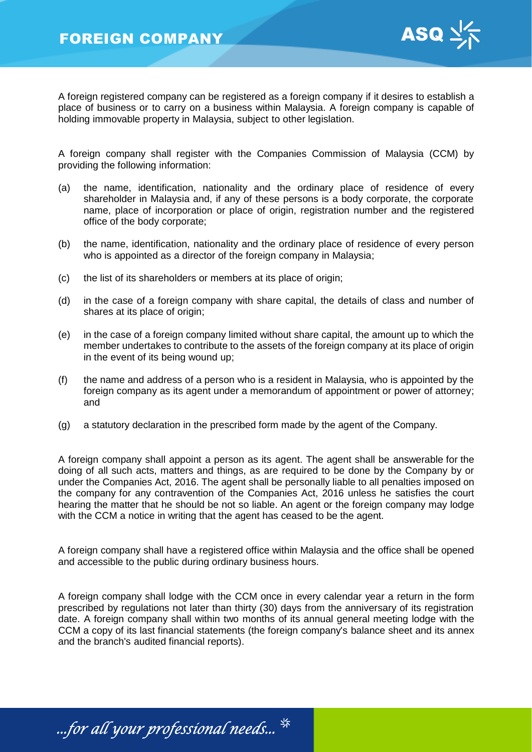

A foreign registered company can be registered as a foreign company if it desires to establish a place of business or to carry on a business within Malaysia. A foreign company is capable of holding immovable property in Malaysia, subject to other legislation.

A foreign company shall register with the Companies Commission of Malaysia (CCM) by providing the following information:

- (a) the name, identification, nationality and the ordinary place of residence of every shareholder in Malaysia and, if any of these persons is a body corporate, the corporate name, place of incorporation or place of origin, registration number and the registered office of the body corporate;
- (b) the name, identification, nationality and the ordinary place of residence of every person who is appointed as a director of the foreign company in Malaysia;
- (c) the list of its shareholders or members at its place of origin;
- (d) in the case of a foreign company with share capital, the details of class and number of shares at its place of origin;
- (e) in the case of a foreign company limited without share capital, the amount up to which the member undertakes to contribute to the assets of the foreign company at its place of origin in the event of its being wound up;
- (f) the name and address of a person who is a resident in Malaysia, who is appointed by the foreign company as its agent under a memorandum of appointment or power of attorney; and
- (g) a statutory declaration in the prescribed form made by the agent of the Company.

A foreign company shall appoint a person as its agent. The agent shall be answerable for the doing of all such acts, matters and things, as are required to be done by the Company by or under the Companies Act, 2016. The agent shall be personally liable to all penalties imposed on the company for any contravention of the Companies Act, 2016 unless he satisfies the court hearing the matter that he should be not so liable. An agent or the foreign company may lodge with the CCM a notice in writing that the agent has ceased to be the agent.

A foreign company shall have a registered office within Malaysia and the office shall be opened and accessible to the public during ordinary business hours.

A foreign company shall lodge with the CCM once in every calendar year a return in the form prescribed by regulations not later than thirty (30) days from the anniversary of its registration date. A foreign company shall within two months of its annual general meeting lodge with the CCM a copy of its last financial statements (the foreign company's balance sheet and its annex and the branch's audited financial reports).

...for all your professional needs...